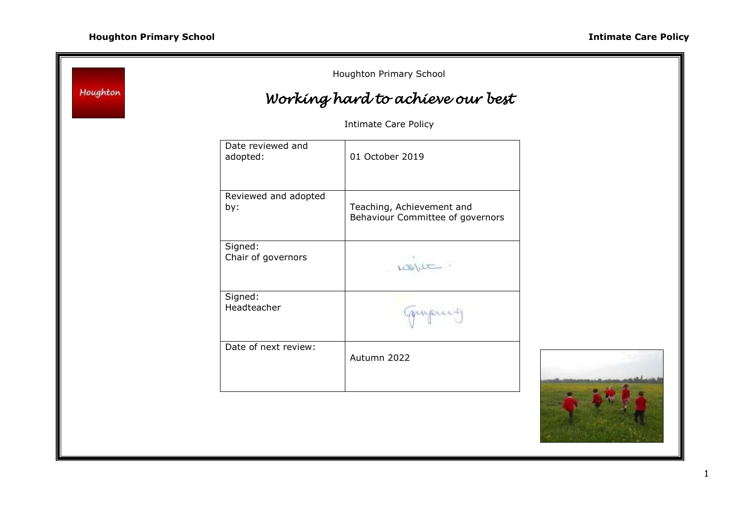| Houghton                    |                               | Houghton Primary School<br>Working hard to achieve our best   |  |
|-----------------------------|-------------------------------|---------------------------------------------------------------|--|
| <b>Intimate Care Policy</b> |                               |                                                               |  |
|                             | Date reviewed and<br>adopted: | 01 October 2019                                               |  |
|                             | Reviewed and adopted<br>by:   | Teaching, Achievement and<br>Behaviour Committee of governors |  |
|                             | Signed:<br>Chair of governors | want.                                                         |  |
|                             | Signed:<br>Headteacher        | myour-                                                        |  |
|                             | Date of next review:          | Autumn 2022                                                   |  |
|                             |                               |                                                               |  |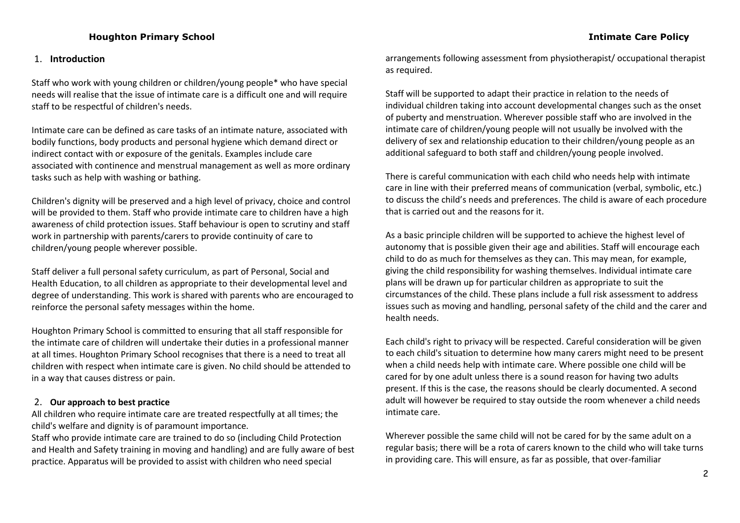# **Houghton Primary School Intimate Care Policy**

#### 1. **Introduction**

Staff who work with young children or children/young people\* who have special needs will realise that the issue of intimate care is a difficult one and will require staff to be respectful of children's needs.

Intimate care can be defined as care tasks of an intimate nature, associated with bodily functions, body products and personal hygiene which demand direct or indirect contact with or exposure of the genitals. Examples include care associated with continence and menstrual management as well as more ordinary tasks such as help with washing or bathing.

Children's dignity will be preserved and a high level of privacy, choice and control will be provided to them. Staff who provide intimate care to children have a high awareness of child protection issues. Staff behaviour is open to scrutiny and staff work in partnership with parents/carers to provide continuity of care to children/young people wherever possible.

Staff deliver a full personal safety curriculum, as part of Personal, Social and Health Education, to all children as appropriate to their developmental level and degree of understanding. This work is shared with parents who are encouraged to reinforce the personal safety messages within the home.

Houghton Primary School is committed to ensuring that all staff responsible for the intimate care of children will undertake their duties in a professional manner at all times. Houghton Primary School recognises that there is a need to treat all children with respect when intimate care is given. No child should be attended to in a way that causes distress or pain.

### 2. **Our approach to best practice**

All children who require intimate care are treated respectfully at all times; the child's welfare and dignity is of paramount importance.

Staff who provide intimate care are trained to do so (including Child Protection and Health and Safety training in moving and handling) and are fully aware of best practice. Apparatus will be provided to assist with children who need special

arrangements following assessment from physiotherapist/ occupational therapist as required.

Staff will be supported to adapt their practice in relation to the needs of individual children taking into account developmental changes such as the onset of puberty and menstruation. Wherever possible staff who are involved in the intimate care of children/young people will not usually be involved with the delivery of sex and relationship education to their children/young people as an additional safeguard to both staff and children/young people involved.

There is careful communication with each child who needs help with intimate care in line with their preferred means of communication (verbal, symbolic, etc.) to discuss the child's needs and preferences. The child is aware of each procedure that is carried out and the reasons for it.

As a basic principle children will be supported to achieve the highest level of autonomy that is possible given their age and abilities. Staff will encourage each child to do as much for themselves as they can. This may mean, for example, giving the child responsibility for washing themselves. Individual intimate care plans will be drawn up for particular children as appropriate to suit the circumstances of the child. These plans include a full risk assessment to address issues such as moving and handling, personal safety of the child and the carer and health needs.

Each child's right to privacy will be respected. Careful consideration will be given to each child's situation to determine how many carers might need to be present when a child needs help with intimate care. Where possible one child will be cared for by one adult unless there is a sound reason for having two adults present. If this is the case, the reasons should be clearly documented. A second adult will however be required to stay outside the room whenever a child needs intimate care.

Wherever possible the same child will not be cared for by the same adult on a regular basis; there will be a rota of carers known to the child who will take turns in providing care. This will ensure, as far as possible, that over-familiar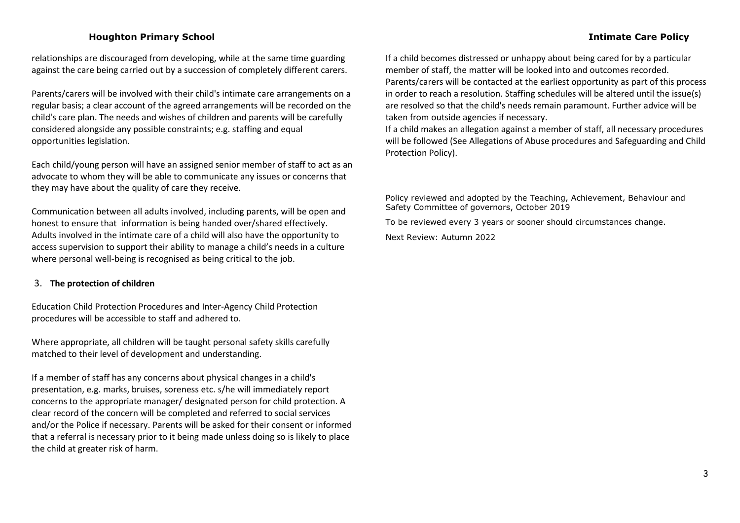### **Houghton Primary School Intimate Care Policy**

relationships are discouraged from developing, while at the same time guarding against the care being carried out by a succession of completely different carers.

Parents/carers will be involved with their child's intimate care arrangements on a regular basis; a clear account of the agreed arrangements will be recorded on the child's care plan. The needs and wishes of children and parents will be carefully considered alongside any possible constraints; e.g. staffing and equal opportunities legislation.

Each child/young person will have an assigned senior member of staff to act as an advocate to whom they will be able to communicate any issues or concerns that they may have about the quality of care they receive.

Communication between all adults involved, including parents, will be open and honest to ensure that information is being handed over/shared effectively. Adults involved in the intimate care of a child will also have the opportunity to access supervision to support their ability to manage a child's needs in a culture where personal well-being is recognised as being critical to the job.

### 3. **The protection of children**

Education Child Protection Procedures and Inter-Agency Child Protection procedures will be accessible to staff and adhered to.

Where appropriate, all children will be taught personal safety skills carefully matched to their level of development and understanding.

If a member of staff has any concerns about physical changes in a child's presentation, e.g. marks, bruises, soreness etc. s/he will immediately report concerns to the appropriate manager/ designated person for child protection. A clear record of the concern will be completed and referred to social services and/or the Police if necessary. Parents will be asked for their consent or informed that a referral is necessary prior to it being made unless doing so is likely to place the child at greater risk of harm.

If a child becomes distressed or unhappy about being cared for by a particular member of staff, the matter will be looked into and outcomes recorded. Parents/carers will be contacted at the earliest opportunity as part of this process in order to reach a resolution. Staffing schedules will be altered until the issue(s) are resolved so that the child's needs remain paramount. Further advice will be taken from outside agencies if necessary.

If a child makes an allegation against a member of staff, all necessary procedures will be followed (See Allegations of Abuse procedures and Safeguarding and Child Protection Policy).

Policy reviewed and adopted by the Teaching, Achievement, Behaviour and Safety Committee of governors, October 2019

To be reviewed every 3 years or sooner should circumstances change.

Next Review: Autumn 2022